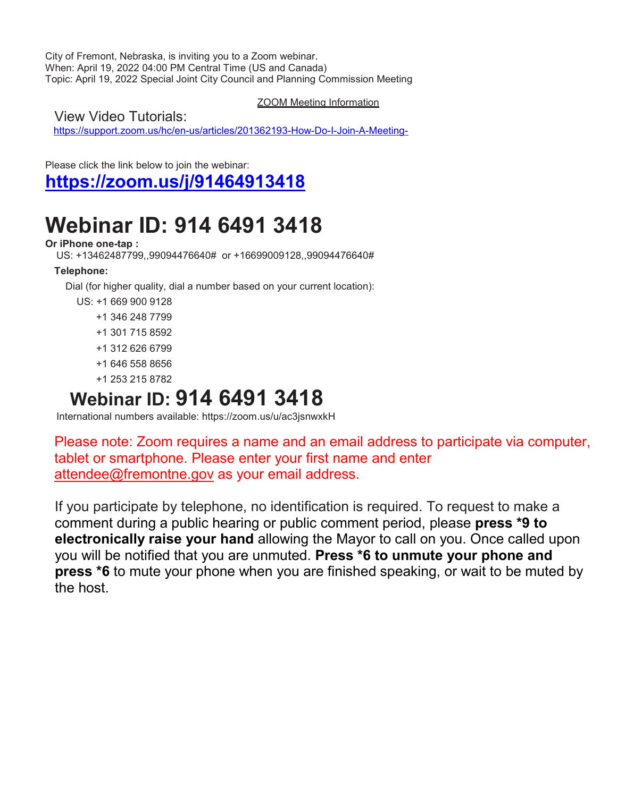City of Fremont, Nebraska, is inviting you to a Zoom webinar. When: April 19, 2022 04:00 PM Central Time (US and Canada) Topic: April 19, 2022 Special Joint City Council and Planning Commission Meeting

ZOOM Meeting Information

View Video Tutorials:

<https://support.zoom.us/hc/en-us/articles/201362193-How-Do-I-Join-A-Meeting->

Please click the link below to join the webinar:

**<https://zoom.us/j/91464913418>**

# **Webinar ID: 914 6491 3418**

#### **Or iPhone one-tap :**

US: +13462487799,,99094476640# or +16699009128,,99094476640#

#### **Telephone:**

Dial (for higher quality, dial a number based on your current location):

US: +1 669 900 9128

- +1 346 248 7799
- +1 301 715 8592
- +1 312 626 6799
- +1 646 558 8656
- +1 253 215 8782

## **Webinar ID: 914 6491 3418**

International numbers available: https://zoom.us/u/ac3jsnwxkH

Please note: Zoom requires a name and an email address to participate via computer, tablet or smartphone. Please enter your first name and enter [attendee@fremontne.gov](mailto:attendee@fremontne.gov) as your email address.

If you participate by telephone, no identification is required. To request to make a comment during a public hearing or public comment period, please **press \*9 to electronically raise your hand** allowing the Mayor to call on you. Once called upon you will be notified that you are unmuted. **Press \*6 to unmute your phone and press \*6** to mute your phone when you are finished speaking, or wait to be muted by the host.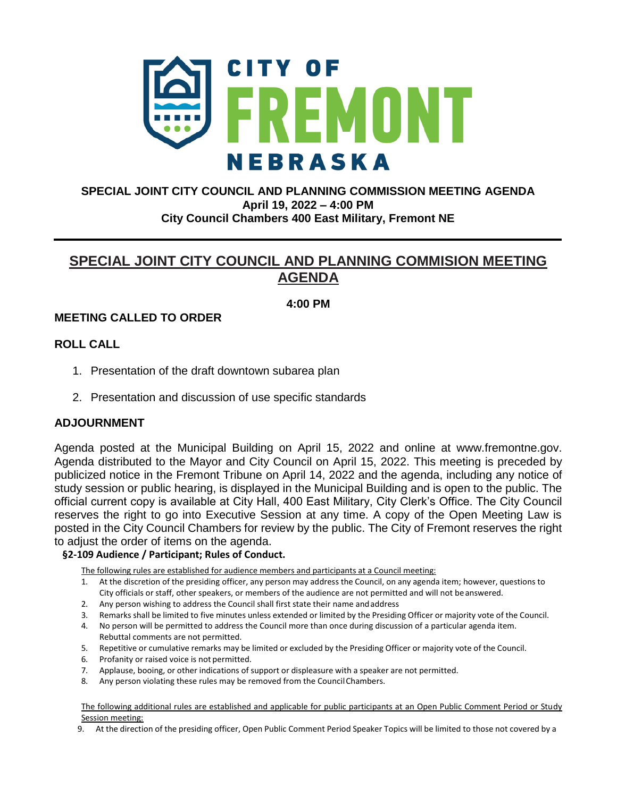

#### **SPECIAL JOINT CITY COUNCIL AND PLANNING COMMISSION MEETING AGENDA April 19, 2022 – 4:00 PM City Council Chambers 400 East Military, Fremont NE**

### **SPECIAL JOINT CITY COUNCIL AND PLANNING COMMISION MEETING AGENDA**

#### **4:00 PM**

#### **MEETING CALLED TO ORDER**

#### **ROLL CALL**

- 1. Presentation of the draft downtown subarea plan
- 2. Presentation and discussion of use specific standards

#### **ADJOURNMENT**

Agenda posted at the Municipal Building on April 15, 2022 and online at www.fremontne.gov. Agenda distributed to the Mayor and City Council on April 15, 2022. This meeting is preceded by publicized notice in the Fremont Tribune on April 14, 2022 and the agenda, including any notice of study session or public hearing, is displayed in the Municipal Building and is open to the public. The official current copy is available at City Hall, 400 East Military, City Clerk's Office. The City Council reserves the right to go into Executive Session at any time. A copy of the Open Meeting Law is posted in the City Council Chambers for review by the public. The City of Fremont reserves the right to adjust the order of items on the agenda.

#### **§2-109 Audience / Participant; Rules of Conduct.**

The following rules are established for audience members and participants at a Council meeting:

- 1. At the discretion of the presiding officer, any person may address the Council, on any agenda item; however, questions to City officials or staff, other speakers, or members of the audience are not permitted and will not be answered.
- 2. Any person wishing to address the Council shall first state their name andaddress
- 3. Remarks shall be limited to five minutes unless extended or limited by the Presiding Officer or majority vote of the Council.
- 4. No person will be permitted to address the Council more than once during discussion of a particular agenda item. Rebuttal comments are not permitted.
- 5. Repetitive or cumulative remarks may be limited or excluded by the Presiding Officer or majority vote of the Council.
- 6. Profanity or raised voice is not permitted.
- 7. Applause, booing, or other indications of support or displeasure with a speaker are not permitted.
- 8. Any person violating these rules may be removed from the CouncilChambers.

The following additional rules are established and applicable for public participants at an Open Public Comment Period or Study Session meeting:

9. At the direction of the presiding officer, Open Public Comment Period Speaker Topics will be limited to those not covered by a